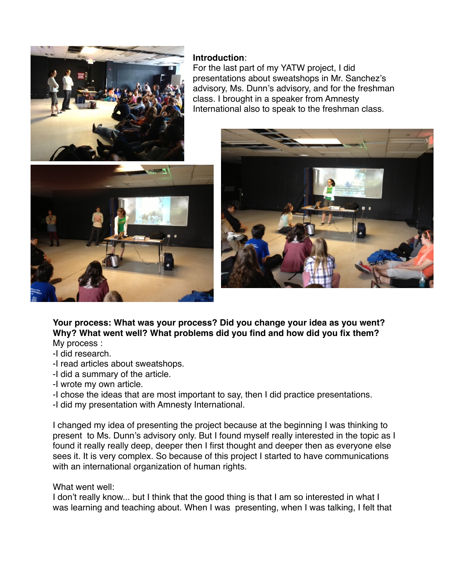

## **Introduction**:

For the last part of my YATW project, I did presentations about sweatshops in Mr. Sanchez's advisory, Ms. Dunn's advisory, and for the freshman class. I brought in a speaker from Amnesty International also to speak to the freshman class.





**Your process: What was your process? Did you change your idea as you went? Why? What went well? What problems did you find and how did you fix them?** My process :

- -I did research.
- -I read articles about sweatshops.
- -I did a summary of the article.
- -I wrote my own article.
- -I chose the ideas that are most important to say, then I did practice presentations.
- -I did my presentation with Amnesty International.

I changed my idea of presenting the project because at the beginning I was thinking to present to Ms. Dunn's advisory only. But I found myself really interested in the topic as I found it really really deep, deeper then I first thought and deeper then as everyone else sees it. It is very complex. So because of this project I started to have communications with an international organization of human rights.

## What went well:

I don't really know... but I think that the good thing is that I am so interested in what I was learning and teaching about. When I was presenting, when I was talking, I felt that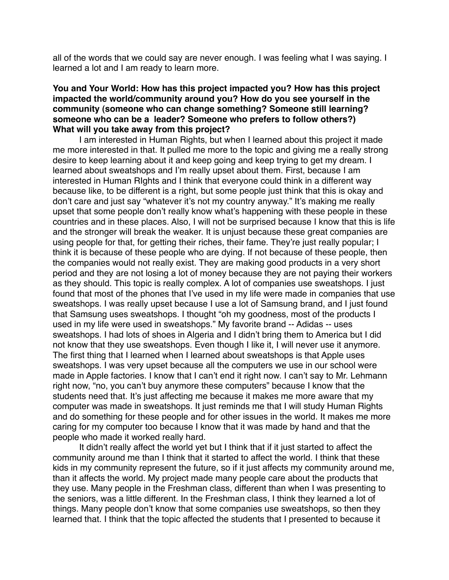all of the words that we could say are never enough. I was feeling what I was saying. I learned a lot and I am ready to learn more.

## **You and Your World: How has this project impacted you? How has this project impacted the world/community around you? How do you see yourself in the community (someone who can change something? Someone still learning? someone who can be a leader? Someone who prefers to follow others?) What will you take away from this project?**

I am interested in Human Rights, but when I learned about this project it made me more interested in that. It pulled me more to the topic and giving me a really strong desire to keep learning about it and keep going and keep trying to get my dream. I learned about sweatshops and I'm really upset about them. First, because I am interested in Human RIghts and I think that everyone could think in a different way because like, to be different is a right, but some people just think that this is okay and don't care and just say "whatever it's not my country anyway." It's making me really upset that some people don't really know what's happening with these people in these countries and in these places. Also, I will not be surprised because I know that this is life and the stronger will break the weaker. It is unjust because these great companies are using people for that, for getting their riches, their fame. They're just really popular; I think it is because of these people who are dying. If not because of these people, then the companies would not really exist. They are making good products in a very short period and they are not losing a lot of money because they are not paying their workers as they should. This topic is really complex. A lot of companies use sweatshops. I just found that most of the phones that I've used in my life were made in companies that use sweatshops. I was really upset because I use a lot of Samsung brand, and I just found that Samsung uses sweatshops. I thought "oh my goodness, most of the products I used in my life were used in sweatshops." My favorite brand -- Adidas -- uses sweatshops. I had lots of shoes in Algeria and I didn't bring them to America but I did not know that they use sweatshops. Even though I like it, I will never use it anymore. The first thing that I learned when I learned about sweatshops is that Apple uses sweatshops. I was very upset because all the computers we use in our school were made in Apple factories. I know that I can't end it right now. I can't say to Mr. Lehmann right now, "no, you can't buy anymore these computers" because I know that the students need that. It's just affecting me because it makes me more aware that my computer was made in sweatshops. It just reminds me that I will study Human Rights and do something for these people and for other issues in the world. It makes me more caring for my computer too because I know that it was made by hand and that the people who made it worked really hard.

It didn't really affect the world yet but I think that if it just started to affect the community around me than I think that it started to affect the world. I think that these kids in my community represent the future, so if it just affects my community around me, than it affects the world. My project made many people care about the products that they use. Many people in the Freshman class, different than when I was presenting to the seniors, was a little different. In the Freshman class, I think they learned a lot of things. Many people don't know that some companies use sweatshops, so then they learned that. I think that the topic affected the students that I presented to because it